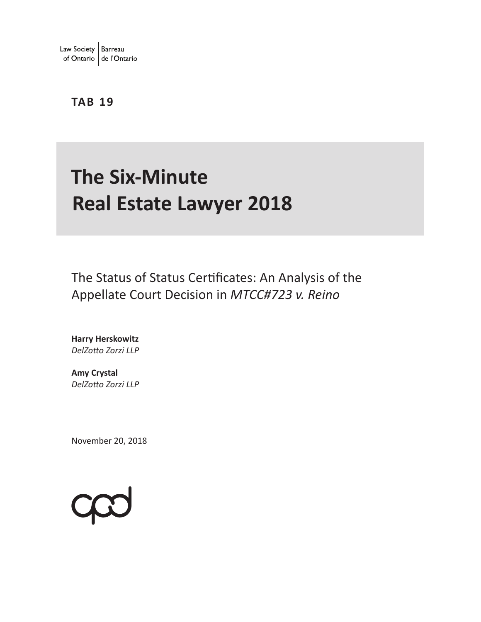### **TAB 19**

# **The Six-Minute Real Estate Lawyer 2018**

The Status of Status Certificates: An Analysis of the Appellate Court Decision in *MTCC#723 v. Reino*

**Harry Herskowitz** *DelZotto Zorzi LLP* 

**Amy Crystal** *DelZotto Zorzi LLP* 

November 20, 2018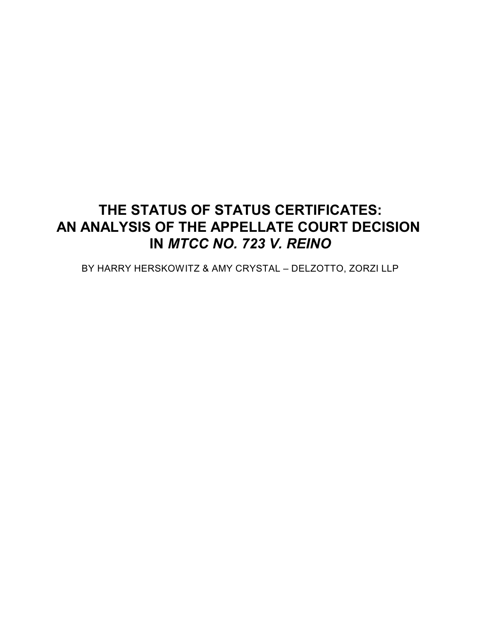## **THE STATUS OF STATUS CERTIFICATES: AN ANALYSIS OF THE APPELLATE COURT DECISION IN** *MTCC NO. 723 V. REINO*

BY HARRY HERSKOWITZ & AMY CRYSTAL – DELZOTTO, ZORZI LLP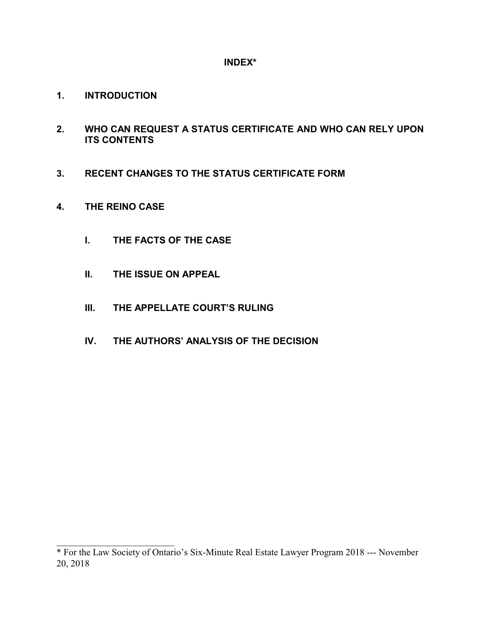#### **INDEX\***

- **1. INTRODUCTION**
- **2. WHO CAN REQUEST A STATUS CERTIFICATE AND WHO CAN RELY UPON ITS CONTENTS**
- **3. RECENT CHANGES TO THE STATUS CERTIFICATE FORM**
- **4. THE REINO CASE**

\_\_\_\_\_\_\_\_\_\_\_\_\_\_\_\_\_\_\_\_\_\_\_\_\_

- **I. THE FACTS OF THE CASE**
- **II. THE ISSUE ON APPEAL**
- **III. THE APPELLATE COURT'S RULING**
- **IV. THE AUTHORS' ANALYSIS OF THE DECISION**

<sup>\*</sup> For the Law Society of Ontario's Six-Minute Real Estate Lawyer Program 2018 --- November 20, 2018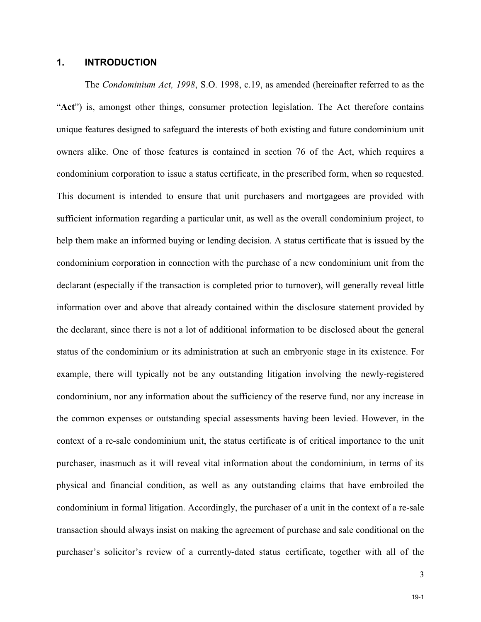#### **1. INTRODUCTION**

The *Condominium Act, 1998*, S.O. 1998, c.19, as amended (hereinafter referred to as the "**Act**") is, amongst other things, consumer protection legislation. The Act therefore contains unique features designed to safeguard the interests of both existing and future condominium unit owners alike. One of those features is contained in section 76 of the Act, which requires a condominium corporation to issue a status certificate, in the prescribed form, when so requested. This document is intended to ensure that unit purchasers and mortgagees are provided with sufficient information regarding a particular unit, as well as the overall condominium project, to help them make an informed buying or lending decision. A status certificate that is issued by the condominium corporation in connection with the purchase of a new condominium unit from the declarant (especially if the transaction is completed prior to turnover), will generally reveal little information over and above that already contained within the disclosure statement provided by the declarant, since there is not a lot of additional information to be disclosed about the general status of the condominium or its administration at such an embryonic stage in its existence. For example, there will typically not be any outstanding litigation involving the newly-registered condominium, nor any information about the sufficiency of the reserve fund, nor any increase in the common expenses or outstanding special assessments having been levied. However, in the context of a re-sale condominium unit, the status certificate is of critical importance to the unit purchaser, inasmuch as it will reveal vital information about the condominium, in terms of its physical and financial condition, as well as any outstanding claims that have embroiled the condominium in formal litigation. Accordingly, the purchaser of a unit in the context of a re-sale transaction should always insist on making the agreement of purchase and sale conditional on the purchaser's solicitor's review of a currently-dated status certificate, together with all of the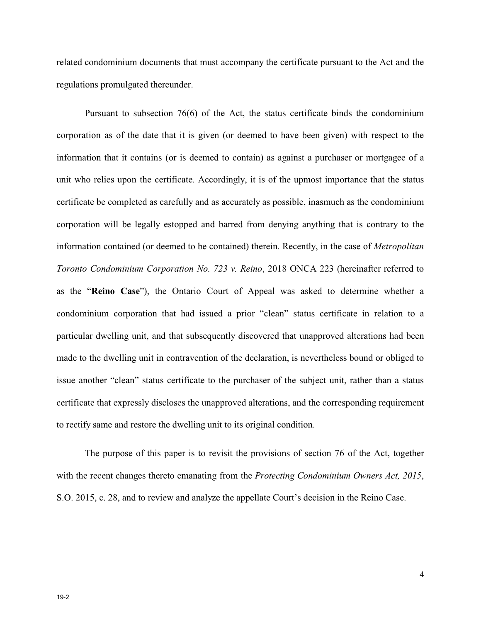related condominium documents that must accompany the certificate pursuant to the Act and the regulations promulgated thereunder.

Pursuant to subsection 76(6) of the Act, the status certificate binds the condominium corporation as of the date that it is given (or deemed to have been given) with respect to the information that it contains (or is deemed to contain) as against a purchaser or mortgagee of a unit who relies upon the certificate. Accordingly, it is of the upmost importance that the status certificate be completed as carefully and as accurately as possible, inasmuch as the condominium corporation will be legally estopped and barred from denying anything that is contrary to the information contained (or deemed to be contained) therein. Recently, in the case of *Metropolitan Toronto Condominium Corporation No. 723 v. Reino*, 2018 ONCA 223 (hereinafter referred to as the "**Reino Case**"), the Ontario Court of Appeal was asked to determine whether a condominium corporation that had issued a prior "clean" status certificate in relation to a particular dwelling unit, and that subsequently discovered that unapproved alterations had been made to the dwelling unit in contravention of the declaration, is nevertheless bound or obliged to issue another "clean" status certificate to the purchaser of the subject unit, rather than a status certificate that expressly discloses the unapproved alterations, and the corresponding requirement to rectify same and restore the dwelling unit to its original condition.

The purpose of this paper is to revisit the provisions of section 76 of the Act, together with the recent changes thereto emanating from the *Protecting Condominium Owners Act, 2015*, S.O. 2015, c. 28, and to review and analyze the appellate Court's decision in the Reino Case.

19-2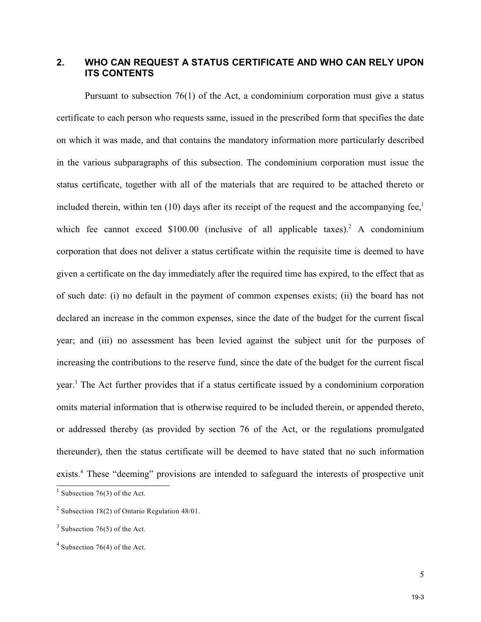#### **2. WHO CAN REQUEST A STATUS CERTIFICATE AND WHO CAN RELY UPON ITS CONTENTS**

Pursuant to subsection 76(1) of the Act, a condominium corporation must give a status certificate to each person who requests same, issued in the prescribed form that specifies the date on which it was made, and that contains the mandatory information more particularly described in the various subparagraphs of this subsection. The condominium corporation must issue the status certificate, together with all of the materials that are required to be attached thereto or included therein, within ten (10) days after its receipt of the request and the accompanying fee, $\frac{1}{1}$ which fee cannot exceed  $$100.00$  (inclusive of all applicable taxes).<sup>2</sup> A condominium corporation that does not deliver a status certificate within the requisite time is deemed to have given a certificate on the day immediately after the required time has expired, to the effect that as of such date: (i) no default in the payment of common expenses exists; (ii) the board has not declared an increase in the common expenses, since the date of the budget for the current fiscal year; and (iii) no assessment has been levied against the subject unit for the purposes of increasing the contributions to the reserve fund, since the date of the budget for the current fiscal year.<sup>3</sup> The Act further provides that if a status certificate issued by a condominium corporation omits material information that is otherwise required to be included therein, or appended thereto, or addressed thereby (as provided by section 76 of the Act, or the regulations promulgated thereunder), then the status certificate will be deemed to have stated that no such information exists.<sup>4</sup> These "deeming" provisions are intended to safeguard the interests of prospective unit

<sup>&</sup>lt;sup>1</sup> Subsection 76(3) of the Act.

<sup>&</sup>lt;sup>2</sup> Subsection 18(2) of Ontario Regulation 48/01.

 $3$  Subsection 76(5) of the Act.

 $4$  Subsection 76(4) of the Act.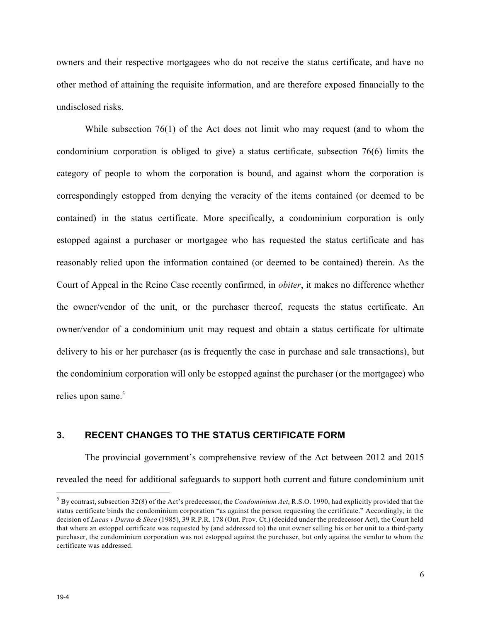owners and their respective mortgagees who do not receive the status certificate, and have no other method of attaining the requisite information, and are therefore exposed financially to the undisclosed risks.

While subsection 76(1) of the Act does not limit who may request (and to whom the condominium corporation is obliged to give) a status certificate, subsection 76(6) limits the category of people to whom the corporation is bound, and against whom the corporation is correspondingly estopped from denying the veracity of the items contained (or deemed to be contained) in the status certificate. More specifically, a condominium corporation is only estopped against a purchaser or mortgagee who has requested the status certificate and has reasonably relied upon the information contained (or deemed to be contained) therein. As the Court of Appeal in the Reino Case recently confirmed, in *obiter*, it makes no difference whether the owner/vendor of the unit, or the purchaser thereof, requests the status certificate. An owner/vendor of a condominium unit may request and obtain a status certificate for ultimate delivery to his or her purchaser (as is frequently the case in purchase and sale transactions), but the condominium corporation will only be estopped against the purchaser (or the mortgagee) who relies upon same.<sup>5</sup>

#### **3. RECENT CHANGES TO THE STATUS CERTIFICATE FORM**

The provincial government's comprehensive review of the Act between 2012 and 2015 revealed the need for additional safeguards to support both current and future condominium unit

<sup>5</sup> By contrast, subsection 32(8) of the Act's predecessor, the *Condominium Act*, R.S.O. 1990, had explicitly provided that the status certificate binds the condominium corporation "as against the person requesting the certificate." Accordingly, in the decision of *Lucas v Durno & Shea* (1985), 39 R.P.R. 178 (Ont. Prov. Ct.) (decided under the predecessor Act), the Court held that where an estoppel certificate was requested by (and addressed to) the unit owner selling his or her unit to a third-party purchaser, the condominium corporation was not estopped against the purchaser, but only against the vendor to whom the certificate was addressed.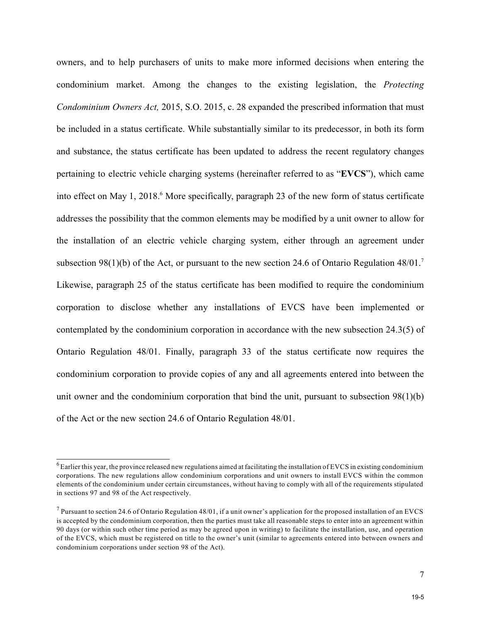owners, and to help purchasers of units to make more informed decisions when entering the condominium market. Among the changes to the existing legislation, the *Protecting Condominium Owners Act,* 2015, S.O. 2015, c. 28 expanded the prescribed information that must be included in a status certificate. While substantially similar to its predecessor, in both its form and substance, the status certificate has been updated to address the recent regulatory changes pertaining to electric vehicle charging systems (hereinafter referred to as "**EVCS**"), which came into effect on May 1, 2018.<sup>6</sup> More specifically, paragraph 23 of the new form of status certificate addresses the possibility that the common elements may be modified by a unit owner to allow for the installation of an electric vehicle charging system, either through an agreement under subsection 98(1)(b) of the Act, or pursuant to the new section 24.6 of Ontario Regulation  $48/01$ .<sup>7</sup> Likewise, paragraph 25 of the status certificate has been modified to require the condominium corporation to disclose whether any installations of EVCS have been implemented or contemplated by the condominium corporation in accordance with the new subsection 24.3(5) of Ontario Regulation 48/01. Finally, paragraph 33 of the status certificate now requires the condominium corporation to provide copies of any and all agreements entered into between the unit owner and the condominium corporation that bind the unit, pursuant to subsection 98(1)(b) of the Act or the new section 24.6 of Ontario Regulation 48/01.

 $^6$  Earlier this year, the province released new regulations aimed at facilitating the installation of EVCS in existing condominium corporations. The new regulations allow condominium corporations and unit owners to install EVCS within the common elements of the condominium under certain circumstances, without having to comply with all of the requirements stipulated in sections 97 and 98 of the Act respectively.

<sup>&</sup>lt;sup>7</sup> Pursuant to section 24.6 of Ontario Regulation 48/01, if a unit owner's application for the proposed installation of an EVCS is accepted by the condominium corporation, then the parties must take all reasonable steps to enter into an agreement within 90 days (or within such other time period as may be agreed upon in writing) to facilitate the installation, use, and operation of the EVCS, which must be registered on title to the owner's unit (similar to agreements entered into between owners and condominium corporations under section 98 of the Act).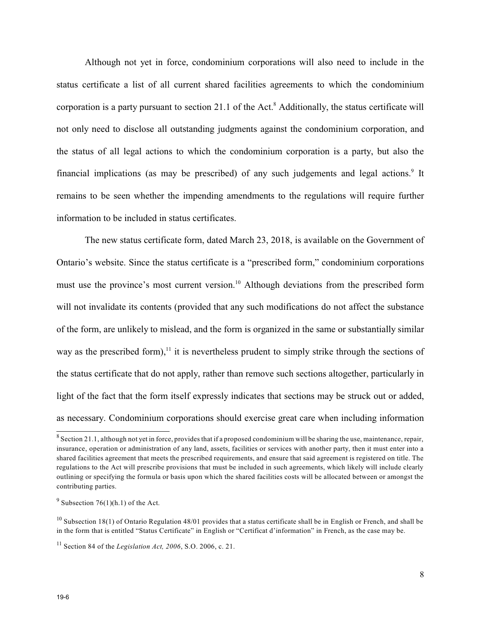Although not yet in force, condominium corporations will also need to include in the status certificate a list of all current shared facilities agreements to which the condominium corporation is a party pursuant to section 21.1 of the Act. $^8$  Additionally, the status certificate will not only need to disclose all outstanding judgments against the condominium corporation, and the status of all legal actions to which the condominium corporation is a party, but also the financial implications (as may be prescribed) of any such judgements and legal actions.<sup>9</sup> It remains to be seen whether the impending amendments to the regulations will require further information to be included in status certificates.

The new status certificate form, dated March 23, 2018, is available on the Government of Ontario's website. Since the status certificate is a "prescribed form," condominium corporations must use the province's most current version.<sup>10</sup> Although deviations from the prescribed form will not invalidate its contents (provided that any such modifications do not affect the substance of the form, are unlikely to mislead, and the form is organized in the same or substantially similar way as the prescribed form), $<sup>11</sup>$  it is nevertheless prudent to simply strike through the sections of</sup> the status certificate that do not apply, rather than remove such sections altogether, particularly in light of the fact that the form itself expressly indicates that sections may be struck out or added, as necessary. Condominium corporations should exercise great care when including information

 $^8$  Section 21.1, although not yet in force, provides that if a proposed condominium will be sharing the use, maintenance, repair, insurance, operation or administration of any land, assets, facilities or services with another party, then it must enter into a shared facilities agreement that meets the prescribed requirements, and ensure that said agreement is registered on title. The regulations to the Act will prescribe provisions that must be included in such agreements, which likely will include clearly outlining or specifying the formula or basis upon which the shared facilities costs will be allocated between or amongst the contributing parties.

<sup>&</sup>lt;sup>9</sup> Subsection 76(1)(h.1) of the Act.

<sup>&</sup>lt;sup>10</sup> Subsection 18(1) of Ontario Regulation 48/01 provides that a status certificate shall be in English or French, and shall be in the form that is entitled "Status Certificate" in English or "Certificat d'information" in French, as the case may be.

<sup>11</sup> Section 84 of the *Legislation Act, 2006*, S.O. 2006, c. 21.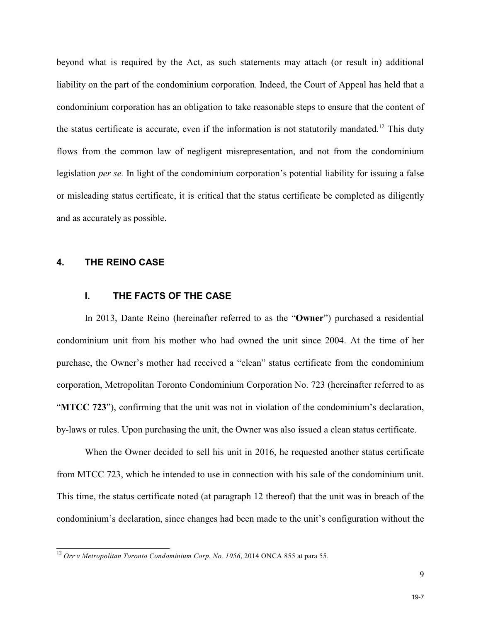beyond what is required by the Act, as such statements may attach (or result in) additional liability on the part of the condominium corporation. Indeed, the Court of Appeal has held that a condominium corporation has an obligation to take reasonable steps to ensure that the content of the status certificate is accurate, even if the information is not statutorily mandated.<sup>12</sup> This duty flows from the common law of negligent misrepresentation, and not from the condominium legislation *per se.* In light of the condominium corporation's potential liability for issuing a false or misleading status certificate, it is critical that the status certificate be completed as diligently and as accurately as possible.

#### **4. THE REINO CASE**

#### **I. THE FACTS OF THE CASE**

In 2013, Dante Reino (hereinafter referred to as the "**Owner**") purchased a residential condominium unit from his mother who had owned the unit since 2004. At the time of her purchase, the Owner's mother had received a "clean" status certificate from the condominium corporation, Metropolitan Toronto Condominium Corporation No. 723 (hereinafter referred to as "**MTCC 723**"), confirming that the unit was not in violation of the condominium's declaration, by-laws or rules. Upon purchasing the unit, the Owner was also issued a clean status certificate.

When the Owner decided to sell his unit in 2016, he requested another status certificate from MTCC 723, which he intended to use in connection with his sale of the condominium unit. This time, the status certificate noted (at paragraph 12 thereof) that the unit was in breach of the condominium's declaration, since changes had been made to the unit's configuration without the

<sup>12</sup> *Orr v Metropolitan Toronto Condominium Corp. No. 1056*, 2014 ONCA 855 at para 55.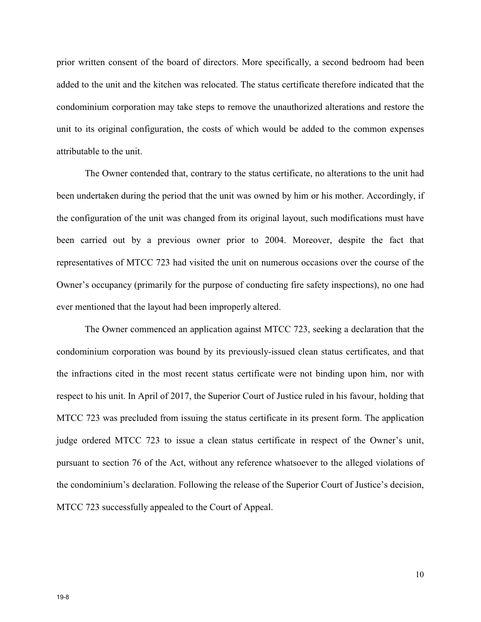prior written consent of the board of directors. More specifically, a second bedroom had been added to the unit and the kitchen was relocated. The status certificate therefore indicated that the condominium corporation may take steps to remove the unauthorized alterations and restore the unit to its original configuration, the costs of which would be added to the common expenses attributable to the unit.

The Owner contended that, contrary to the status certificate, no alterations to the unit had been undertaken during the period that the unit was owned by him or his mother. Accordingly, if the configuration of the unit was changed from its original layout, such modifications must have been carried out by a previous owner prior to 2004. Moreover, despite the fact that representatives of MTCC 723 had visited the unit on numerous occasions over the course of the Owner's occupancy (primarily for the purpose of conducting fire safety inspections), no one had ever mentioned that the layout had been improperly altered.

The Owner commenced an application against MTCC 723, seeking a declaration that the condominium corporation was bound by its previously-issued clean status certificates, and that the infractions cited in the most recent status certificate were not binding upon him, nor with respect to his unit. In April of 2017, the Superior Court of Justice ruled in his favour, holding that MTCC 723 was precluded from issuing the status certificate in its present form. The application judge ordered MTCC 723 to issue a clean status certificate in respect of the Owner's unit, pursuant to section 76 of the Act, without any reference whatsoever to the alleged violations of the condominium's declaration. Following the release of the Superior Court of Justice's decision, MTCC 723 successfully appealed to the Court of Appeal.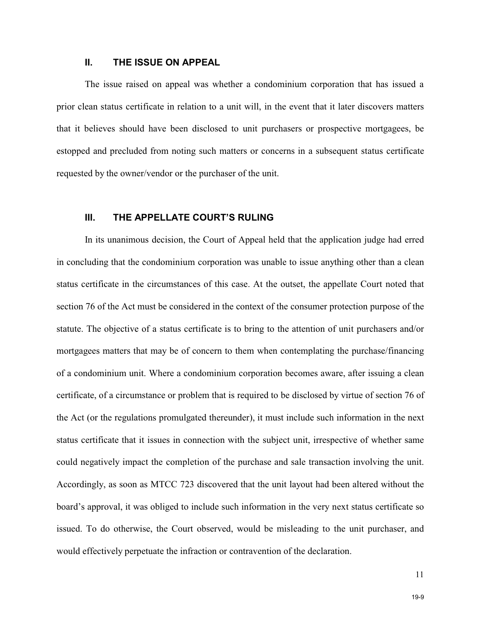#### **II. THE ISSUE ON APPEAL**

The issue raised on appeal was whether a condominium corporation that has issued a prior clean status certificate in relation to a unit will, in the event that it later discovers matters that it believes should have been disclosed to unit purchasers or prospective mortgagees, be estopped and precluded from noting such matters or concerns in a subsequent status certificate requested by the owner/vendor or the purchaser of the unit.

#### **III. THE APPELLATE COURT'S RULING**

In its unanimous decision, the Court of Appeal held that the application judge had erred in concluding that the condominium corporation was unable to issue anything other than a clean status certificate in the circumstances of this case. At the outset, the appellate Court noted that section 76 of the Act must be considered in the context of the consumer protection purpose of the statute. The objective of a status certificate is to bring to the attention of unit purchasers and/or mortgagees matters that may be of concern to them when contemplating the purchase/financing of a condominium unit. Where a condominium corporation becomes aware, after issuing a clean certificate, of a circumstance or problem that is required to be disclosed by virtue of section 76 of the Act (or the regulations promulgated thereunder), it must include such information in the next status certificate that it issues in connection with the subject unit, irrespective of whether same could negatively impact the completion of the purchase and sale transaction involving the unit. Accordingly, as soon as MTCC 723 discovered that the unit layout had been altered without the board's approval, it was obliged to include such information in the very next status certificate so issued. To do otherwise, the Court observed, would be misleading to the unit purchaser, and would effectively perpetuate the infraction or contravention of the declaration.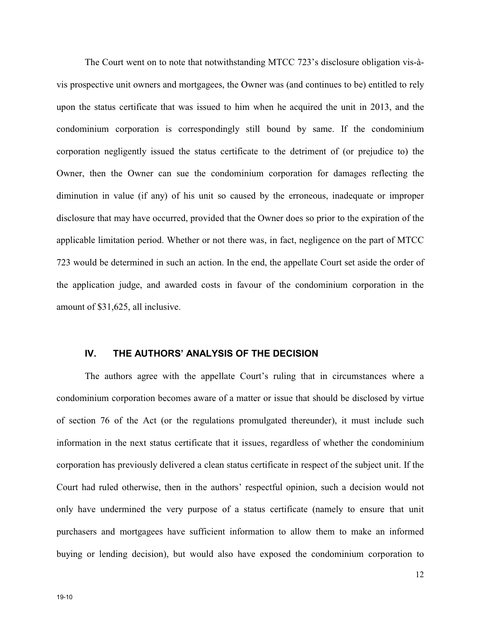The Court went on to note that notwithstanding MTCC 723's disclosure obligation vis-àvis prospective unit owners and mortgagees, the Owner was (and continues to be) entitled to rely upon the status certificate that was issued to him when he acquired the unit in 2013, and the condominium corporation is correspondingly still bound by same. If the condominium corporation negligently issued the status certificate to the detriment of (or prejudice to) the Owner, then the Owner can sue the condominium corporation for damages reflecting the diminution in value (if any) of his unit so caused by the erroneous, inadequate or improper disclosure that may have occurred, provided that the Owner does so prior to the expiration of the applicable limitation period. Whether or not there was, in fact, negligence on the part of MTCC 723 would be determined in such an action. In the end, the appellate Court set aside the order of the application judge, and awarded costs in favour of the condominium corporation in the amount of \$31,625, all inclusive.

#### **IV. THE AUTHORS' ANALYSIS OF THE DECISION**

The authors agree with the appellate Court's ruling that in circumstances where a condominium corporation becomes aware of a matter or issue that should be disclosed by virtue of section 76 of the Act (or the regulations promulgated thereunder), it must include such information in the next status certificate that it issues, regardless of whether the condominium corporation has previously delivered a clean status certificate in respect of the subject unit. If the Court had ruled otherwise, then in the authors' respectful opinion, such a decision would not only have undermined the very purpose of a status certificate (namely to ensure that unit purchasers and mortgagees have sufficient information to allow them to make an informed buying or lending decision), but would also have exposed the condominium corporation to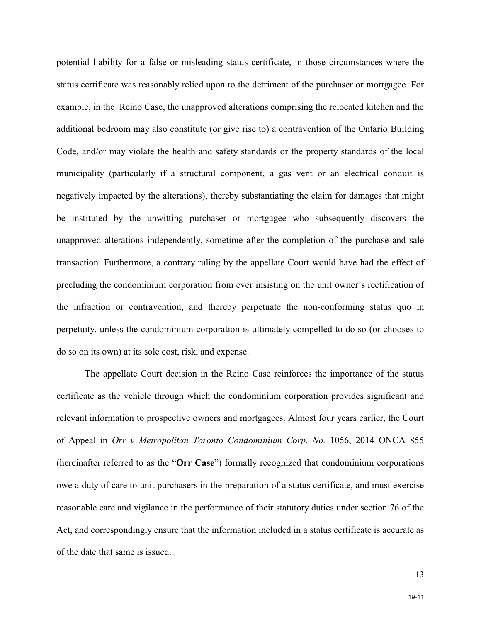potential liability for a false or misleading status certificate, in those circumstances where the status certificate was reasonably relied upon to the detriment of the purchaser or mortgagee. For example, in the Reino Case, the unapproved alterations comprising the relocated kitchen and the additional bedroom may also constitute (or give rise to) a contravention of the Ontario Building Code, and/or may violate the health and safety standards or the property standards of the local municipality (particularly if a structural component, a gas vent or an electrical conduit is negatively impacted by the alterations), thereby substantiating the claim for damages that might be instituted by the unwitting purchaser or mortgagee who subsequently discovers the unapproved alterations independently, sometime after the completion of the purchase and sale transaction. Furthermore, a contrary ruling by the appellate Court would have had the effect of precluding the condominium corporation from ever insisting on the unit owner's rectification of the infraction or contravention, and thereby perpetuate the non-conforming status quo in perpetuity, unless the condominium corporation is ultimately compelled to do so (or chooses to do so on its own) at its sole cost, risk, and expense.

The appellate Court decision in the Reino Case reinforces the importance of the status certificate as the vehicle through which the condominium corporation provides significant and relevant information to prospective owners and mortgagees. Almost four years earlier, the Court of Appeal in *Orr v Metropolitan Toronto Condominium Corp. No.* 1056, 2014 ONCA 855 (hereinafter referred to as the "**Orr Case**") formally recognized that condominium corporations owe a duty of care to unit purchasers in the preparation of a status certificate, and must exercise reasonable care and vigilance in the performance of their statutory duties under section 76 of the Act, and correspondingly ensure that the information included in a status certificate is accurate as of the date that same is issued.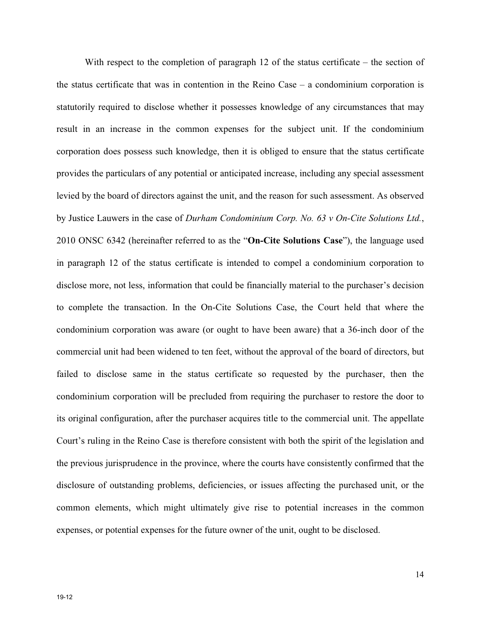With respect to the completion of paragraph 12 of the status certificate – the section of the status certificate that was in contention in the Reino Case – a condominium corporation is statutorily required to disclose whether it possesses knowledge of any circumstances that may result in an increase in the common expenses for the subject unit. If the condominium corporation does possess such knowledge, then it is obliged to ensure that the status certificate provides the particulars of any potential or anticipated increase, including any special assessment levied by the board of directors against the unit, and the reason for such assessment. As observed by Justice Lauwers in the case of *Durham Condominium Corp. No. 63 v On-Cite Solutions Ltd.*, 2010 ONSC 6342 (hereinafter referred to as the "**On-Cite Solutions Case**"), the language used in paragraph 12 of the status certificate is intended to compel a condominium corporation to disclose more, not less, information that could be financially material to the purchaser's decision to complete the transaction. In the On-Cite Solutions Case, the Court held that where the condominium corporation was aware (or ought to have been aware) that a 36-inch door of the commercial unit had been widened to ten feet, without the approval of the board of directors, but failed to disclose same in the status certificate so requested by the purchaser, then the condominium corporation will be precluded from requiring the purchaser to restore the door to its original configuration, after the purchaser acquires title to the commercial unit. The appellate Court's ruling in the Reino Case is therefore consistent with both the spirit of the legislation and the previous jurisprudence in the province, where the courts have consistently confirmed that the disclosure of outstanding problems, deficiencies, or issues affecting the purchased unit, or the common elements, which might ultimately give rise to potential increases in the common expenses, or potential expenses for the future owner of the unit, ought to be disclosed.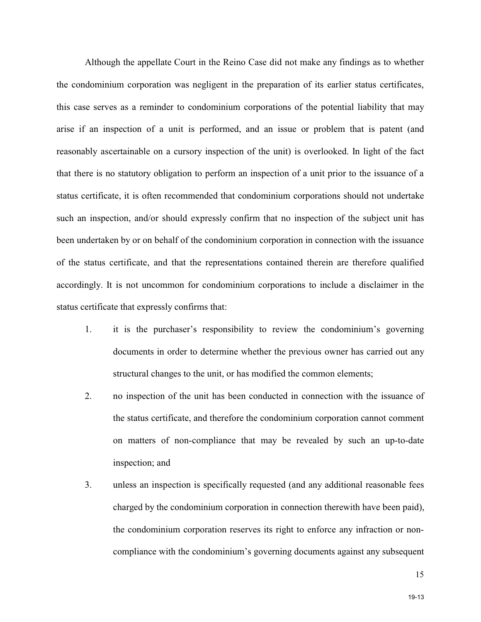Although the appellate Court in the Reino Case did not make any findings as to whether the condominium corporation was negligent in the preparation of its earlier status certificates, this case serves as a reminder to condominium corporations of the potential liability that may arise if an inspection of a unit is performed, and an issue or problem that is patent (and reasonably ascertainable on a cursory inspection of the unit) is overlooked. In light of the fact that there is no statutory obligation to perform an inspection of a unit prior to the issuance of a status certificate, it is often recommended that condominium corporations should not undertake such an inspection, and/or should expressly confirm that no inspection of the subject unit has been undertaken by or on behalf of the condominium corporation in connection with the issuance of the status certificate, and that the representations contained therein are therefore qualified accordingly. It is not uncommon for condominium corporations to include a disclaimer in the status certificate that expressly confirms that:

- 1. it is the purchaser's responsibility to review the condominium's governing documents in order to determine whether the previous owner has carried out any structural changes to the unit, or has modified the common elements;
- 2. no inspection of the unit has been conducted in connection with the issuance of the status certificate, and therefore the condominium corporation cannot comment on matters of non-compliance that may be revealed by such an up-to-date inspection; and
- 3. unless an inspection is specifically requested (and any additional reasonable fees charged by the condominium corporation in connection therewith have been paid), the condominium corporation reserves its right to enforce any infraction or noncompliance with the condominium's governing documents against any subsequent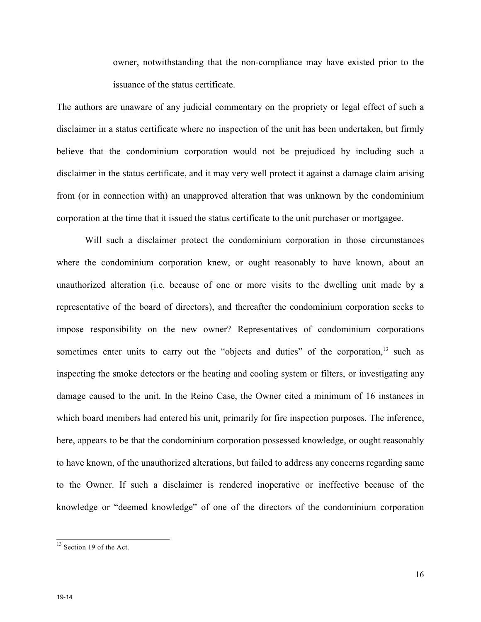owner, notwithstanding that the non-compliance may have existed prior to the issuance of the status certificate.

The authors are unaware of any judicial commentary on the propriety or legal effect of such a disclaimer in a status certificate where no inspection of the unit has been undertaken, but firmly believe that the condominium corporation would not be prejudiced by including such a disclaimer in the status certificate, and it may very well protect it against a damage claim arising from (or in connection with) an unapproved alteration that was unknown by the condominium corporation at the time that it issued the status certificate to the unit purchaser or mortgagee.

Will such a disclaimer protect the condominium corporation in those circumstances where the condominium corporation knew, or ought reasonably to have known, about an unauthorized alteration (i.e. because of one or more visits to the dwelling unit made by a representative of the board of directors), and thereafter the condominium corporation seeks to impose responsibility on the new owner? Representatives of condominium corporations sometimes enter units to carry out the "objects and duties" of the corporation, $13$  such as inspecting the smoke detectors or the heating and cooling system or filters, or investigating any damage caused to the unit. In the Reino Case, the Owner cited a minimum of 16 instances in which board members had entered his unit, primarily for fire inspection purposes. The inference, here, appears to be that the condominium corporation possessed knowledge, or ought reasonably to have known, of the unauthorized alterations, but failed to address any concerns regarding same to the Owner. If such a disclaimer is rendered inoperative or ineffective because of the knowledge or "deemed knowledge" of one of the directors of the condominium corporation

<sup>&</sup>lt;sup>13</sup> Section 19 of the Act.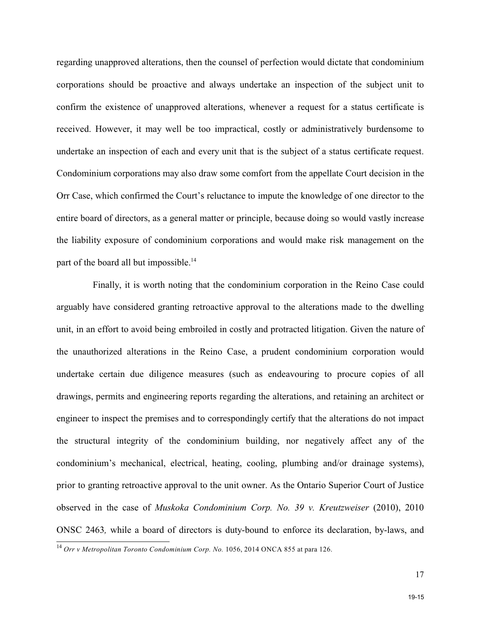regarding unapproved alterations, then the counsel of perfection would dictate that condominium corporations should be proactive and always undertake an inspection of the subject unit to confirm the existence of unapproved alterations, whenever a request for a status certificate is received. However, it may well be too impractical, costly or administratively burdensome to undertake an inspection of each and every unit that is the subject of a status certificate request. Condominium corporations may also draw some comfort from the appellate Court decision in the Orr Case, which confirmed the Court's reluctance to impute the knowledge of one director to the entire board of directors, as a general matter or principle, because doing so would vastly increase the liability exposure of condominium corporations and would make risk management on the part of the board all but impossible.<sup>14</sup>

 Finally, it is worth noting that the condominium corporation in the Reino Case could arguably have considered granting retroactive approval to the alterations made to the dwelling unit, in an effort to avoid being embroiled in costly and protracted litigation. Given the nature of the unauthorized alterations in the Reino Case, a prudent condominium corporation would undertake certain due diligence measures (such as endeavouring to procure copies of all drawings, permits and engineering reports regarding the alterations, and retaining an architect or engineer to inspect the premises and to correspondingly certify that the alterations do not impact the structural integrity of the condominium building, nor negatively affect any of the condominium's mechanical, electrical, heating, cooling, plumbing and/or drainage systems), prior to granting retroactive approval to the unit owner. As the Ontario Superior Court of Justice observed in the case of *Muskoka Condominium Corp. No. 39 v. Kreutzweiser* (2010), 2010 ONSC 2463*,* while a board of directors is duty-bound to enforce its declaration, by-laws, and

<sup>&</sup>lt;sup>14</sup> Orr v Metropolitan Toronto Condominium Corp. No. 1056, 2014 ONCA 855 at para 126.